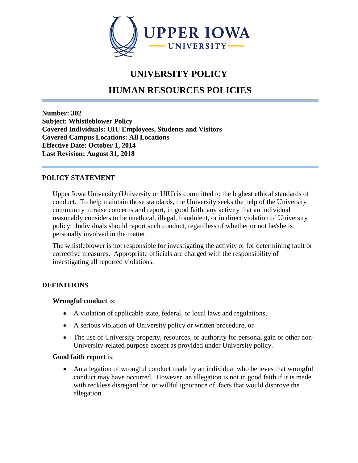

# **UNIVERSITY POLICY**

# **HUMAN RESOURCES POLICIES**

**Number: 302 Subject: Whistleblower Policy Covered Individuals: UIU Employees, Students and Visitors Covered Campus Locations: All Locations Effective Date: October 1, 2014 Last Revision: August 31, 2018**

## **POLICY STATEMENT**

Upper Iowa University (University or UIU) is committed to the highest ethical standards of conduct. To help maintain those standards, the University seeks the help of the University community to raise concerns and report, in good faith, any activity that an individual reasonably considers to be unethical, illegal, fraudulent, or in direct violation of University policy. Individuals should report such conduct, regardless of whether or not he/she is personally involved in the matter.

The whistleblower is not responsible for investigating the activity or for determining fault or corrective measures. Appropriate officials are charged with the responsibility of investigating all reported violations.

## **DEFINITIONS**

## **Wrongful conduct** is:

- A violation of applicable state, federal, or local laws and regulations,
- A serious violation of University policy or written procedure, or
- The use of University property, resources, or authority for personal gain or other non-University-related purpose except as provided under University policy.

## **Good faith report** is:

• An allegation of wrongful conduct made by an individual who believes that wrongful conduct may have occurred. However, an allegation is not in good faith if it is made with reckless disregard for, or willful ignorance of, facts that would disprove the allegation.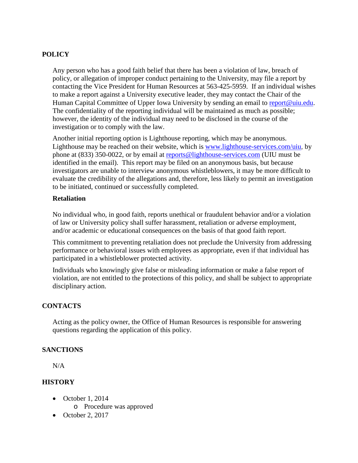# **POLICY**

Any person who has a good faith belief that there has been a violation of law, breach of policy, or allegation of improper conduct pertaining to the University, may file a report by contacting the Vice President for Human Resources at 563-425-5959. If an individual wishes to make a report against a University executive leader, they may contact the Chair of the Human Capital Committee of Upper Iowa University by sending an email to [report@uiu.edu.](mailto:report@uiu.edu) The confidentiality of the reporting individual will be maintained as much as possible; however, the identity of the individual may need to be disclosed in the course of the investigation or to comply with the law.

Another initial reporting option is Lighthouse reporting, which may be anonymous. Lighthouse may be reached on their website, which is [www.lighthouse-services.com/uiu,](http://www.lighthouse-services.com/uiu) by phone at (833) 350-0022, or by email at [reports@lighthouse-services.com](mailto:reports@lighthouse-services.com) (UIU must be identified in the email). This report may be filed on an anonymous basis, but because investigators are unable to interview anonymous whistleblowers, it may be more difficult to evaluate the credibility of the allegations and, therefore, less likely to permit an investigation to be initiated, continued or successfully completed.

## **Retaliation**

No individual who, in good faith, reports unethical or fraudulent behavior and/or a violation of law or University policy shall suffer harassment, retaliation or adverse employment, and/or academic or educational consequences on the basis of that good faith report.

This commitment to preventing retaliation does not preclude the University from addressing performance or behavioral issues with employees as appropriate, even if that individual has participated in a whistleblower protected activity.

Individuals who knowingly give false or misleading information or make a false report of violation, are not entitled to the protections of this policy, and shall be subject to appropriate disciplinary action.

## **CONTACTS**

Acting as the policy owner, the Office of Human Resources is responsible for answering questions regarding the application of this policy.

## **SANCTIONS**

N/A

## **HISTORY**

- October 1, 2014
	- o Procedure was approved
- October 2, 2017